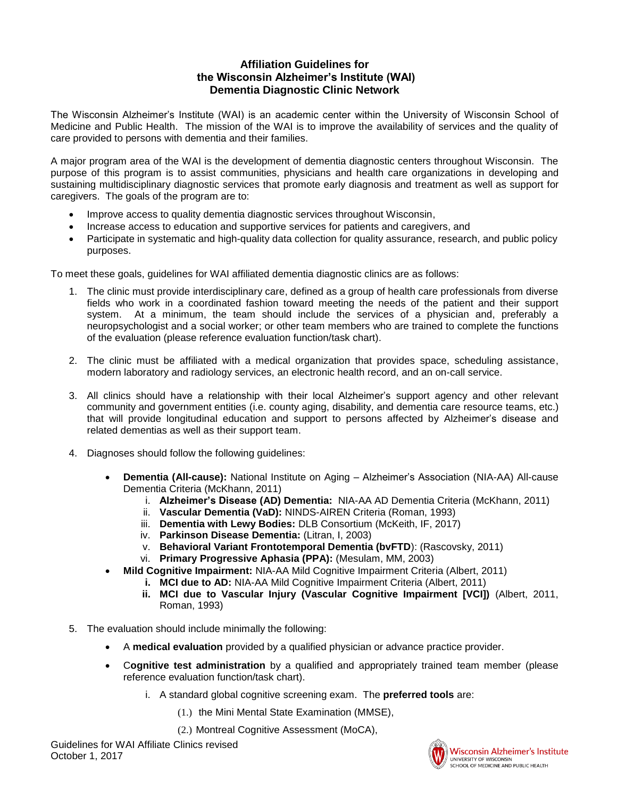## **Affiliation Guidelines for the Wisconsin Alzheimer's Institute (WAI) Dementia Diagnostic Clinic Network**

The Wisconsin Alzheimer's Institute (WAI) is an academic center within the University of Wisconsin School of Medicine and Public Health. The mission of the WAI is to improve the availability of services and the quality of care provided to persons with dementia and their families.

A major program area of the WAI is the development of dementia diagnostic centers throughout Wisconsin. The purpose of this program is to assist communities, physicians and health care organizations in developing and sustaining multidisciplinary diagnostic services that promote early diagnosis and treatment as well as support for caregivers. The goals of the program are to:

- Improve access to quality dementia diagnostic services throughout Wisconsin,
- Increase access to education and supportive services for patients and caregivers, and
- Participate in systematic and high-quality data collection for quality assurance, research, and public policy purposes.

To meet these goals, guidelines for WAI affiliated dementia diagnostic clinics are as follows:

- 1. The clinic must provide interdisciplinary care, defined as a group of health care professionals from diverse fields who work in a coordinated fashion toward meeting the needs of the patient and their support system. At a minimum, the team should include the services of a physician and, preferably a neuropsychologist and a social worker; or other team members who are trained to complete the functions of the evaluation (please reference evaluation function/task chart).
- 2. The clinic must be affiliated with a medical organization that provides space, scheduling assistance, modern laboratory and radiology services, an electronic health record, and an on-call service.
- 3. All clinics should have a relationship with their local Alzheimer's support agency and other relevant community and government entities (i.e. county aging, disability, and dementia care resource teams, etc.) that will provide longitudinal education and support to persons affected by Alzheimer's disease and related dementias as well as their support team.
- 4. Diagnoses should follow the following guidelines:
	- **Dementia (All-cause):** National Institute on Aging Alzheimer's Association (NIA-AA) All-cause Dementia Criteria (McKhann, 2011)
		- i. **Alzheimer's Disease (AD) Dementia:** NIA-AA AD Dementia Criteria (McKhann, 2011)
		- ii. **Vascular Dementia (VaD):** NINDS-AIREN Criteria (Roman, 1993)
		- iii. **Dementia with Lewy Bodies:** DLB Consortium (McKeith, IF, 2017)
		- iv. **Parkinson Disease Dementia:** (Litran, I, 2003)
		- v. **Behavioral Variant Frontotemporal Dementia (bvFTD**): (Rascovsky, 2011)
		- vi. **Primary Progressive Aphasia (PPA):** (Mesulam, MM, 2003)
	- **Mild Cognitive Impairment:** NIA-AA Mild Cognitive Impairment Criteria (Albert, 2011)
		- **i. MCI due to AD:** NIA-AA Mild Cognitive Impairment Criteria (Albert, 2011)
		- **ii. MCI due to Vascular Injury (Vascular Cognitive Impairment [VCI])** (Albert, 2011, Roman, 1993)
- 5. The evaluation should include minimally the following:
	- A **medical evaluation** provided by a qualified physician or advance practice provider.
	- C**ognitive test administration** by a qualified and appropriately trained team member (please reference evaluation function/task chart).
		- i. A standard global cognitive screening exam. The **preferred tools** are:
			- (1.) the Mini Mental State Examination (MMSE),
			- (2.) Montreal Cognitive Assessment (MoCA),

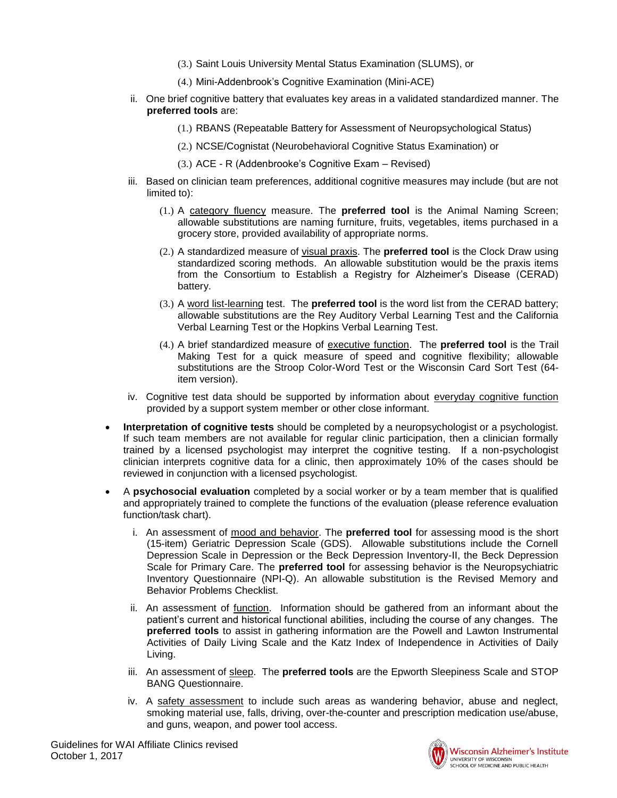- (3.) Saint Louis University Mental Status Examination (SLUMS), or
- (4.) Mini-Addenbrook's Cognitive Examination (Mini-ACE)
- ii. One brief cognitive battery that evaluates key areas in a validated standardized manner. The **preferred tools** are:
	- (1.) RBANS (Repeatable Battery for Assessment of Neuropsychological Status)
		- (2.) NCSE/Cognistat (Neurobehavioral Cognitive Status Examination) or
		- (3.) ACE R (Addenbrooke's Cognitive Exam Revised)
- iii. Based on clinician team preferences, additional cognitive measures may include (but are not limited to):
	- (1.) A category fluency measure. The **preferred tool** is the Animal Naming Screen; allowable substitutions are naming furniture, fruits, vegetables, items purchased in a grocery store, provided availability of appropriate norms.
	- (2.) A standardized measure of visual praxis. The **preferred tool** is the Clock Draw using standardized scoring methods. An allowable substitution would be the praxis items from the Consortium to Establish a Registry for Alzheimer's Disease (CERAD) battery.
	- (3.) A word list-learning test. The **preferred tool** is the word list from the CERAD battery; allowable substitutions are the Rey Auditory Verbal Learning Test and the California Verbal Learning Test or the Hopkins Verbal Learning Test.
	- (4.) A brief standardized measure of executive function. The **preferred tool** is the Trail Making Test for a quick measure of speed and cognitive flexibility; allowable substitutions are the Stroop Color-Word Test or the Wisconsin Card Sort Test (64 item version).
- iv. Cognitive test data should be supported by information about everyday cognitive function provided by a support system member or other close informant.
- **Interpretation of cognitive tests** should be completed by a neuropsychologist or a psychologist. If such team members are not available for regular clinic participation, then a clinician formally trained by a licensed psychologist may interpret the cognitive testing. If a non-psychologist clinician interprets cognitive data for a clinic, then approximately 10% of the cases should be reviewed in conjunction with a licensed psychologist.
- A **psychosocial evaluation** completed by a social worker or by a team member that is qualified and appropriately trained to complete the functions of the evaluation (please reference evaluation function/task chart).
	- i. An assessment of mood and behavior. The **preferred tool** for assessing mood is the short (15-item) Geriatric Depression Scale (GDS). Allowable substitutions include the Cornell Depression Scale in Depression or the Beck Depression Inventory-II, the Beck Depression Scale for Primary Care. The **preferred tool** for assessing behavior is the Neuropsychiatric Inventory Questionnaire (NPI-Q). An allowable substitution is the Revised Memory and Behavior Problems Checklist.
	- ii. An assessment of function. Information should be gathered from an informant about the patient's current and historical functional abilities, including the course of any changes. The **preferred tools** to assist in gathering information are the Powell and Lawton Instrumental Activities of Daily Living Scale and the Katz Index of Independence in Activities of Daily Living.
	- iii. An assessment of sleep. The **preferred tools** are the Epworth Sleepiness Scale and STOP BANG Questionnaire.
	- iv. A safety assessment to include such areas as wandering behavior, abuse and neglect, smoking material use, falls, driving, over-the-counter and prescription medication use/abuse, and guns, weapon, and power tool access.